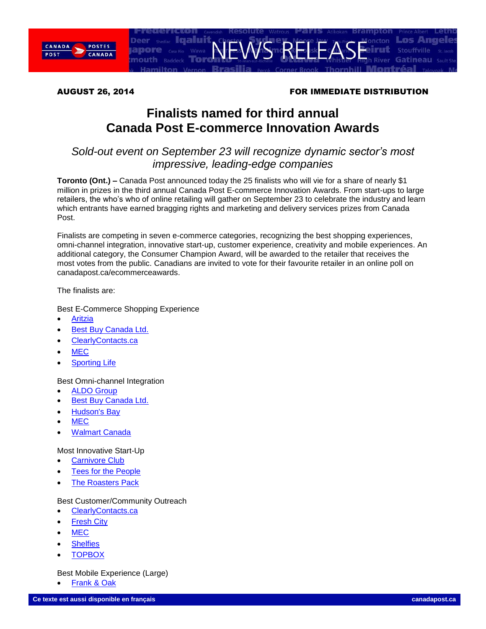

### AUGUST 26, 2014 **FOR IMMEDIATE DISTRIBUTION**

# **Finalists named for third annual Canada Post E-commerce Innovation Awards**

## *Sold-out event on September 23 will recognize dynamic sector's most impressive, leading-edge companies*

**Toronto (Ont.) –** Canada Post announced today the 25 finalists who will vie for a share of nearly \$1 million in prizes in the third annual Canada Post E-commerce Innovation Awards. From start-ups to large retailers, the who's who of online retailing will gather on September 23 to celebrate the industry and learn which entrants have earned bragging rights and marketing and delivery services prizes from Canada Post.

Finalists are competing in seven e-commerce categories, recognizing the best shopping experiences, omni-channel integration, innovative start-up, customer experience, creativity and mobile experiences. An additional category, the Consumer Champion Award, will be awarded to the retailer that receives the most votes from the public. Canadians are invited to vote for their favourite retailer in an online poll on canadapost.ca/ecommerceawards.

The finalists are:

Best E-Commerce Shopping Experience

- [Aritzia](http://www.aritzia.com/)
- [Best Buy Canada Ltd.](http://www.bestbuy.ca/)
- [ClearlyContacts.ca](http://www.clearlycontacts.ca/)
- [MEC](http://www.mec.ca/)
- [Sporting Life](http://www.sportinglife.ca/)

Best Omni-channel Integration

- [ALDO Group](http://www.aldoshoes.com/ca-eng)
- Best [Buy Canada Ltd.](http://www.bestbuy.ca/)
- [Hudson's Bay](http://www.thebay.com/)
- [MEC](http://www.mec.ca/)
- [Walmart Canada](http://www.walmart.ca/)

#### Most Innovative Start-Up

- [Carnivore Club](https://www.carnivoreclub.co/)
- [Tees for the People](http://www.teesforthepeople.com/)
- [The Roasters Pack](http://www.theroasterspack.com/)

#### Best Customer/Community Outreach

- [ClearlyContacts.ca](http://www.clearlycontacts.ca/)
- [Fresh City](http://www.freshcityfarms.com/)
- **[MEC](http://www.mec.ca/)**
- **[Shelfies](http://shelfies.com/)**
- **[TOPBOX](http://www.topbox.ca/)**

#### Best Mobile Experience (Large)

[Frank & Oak](https://www.frankandoak.com/)